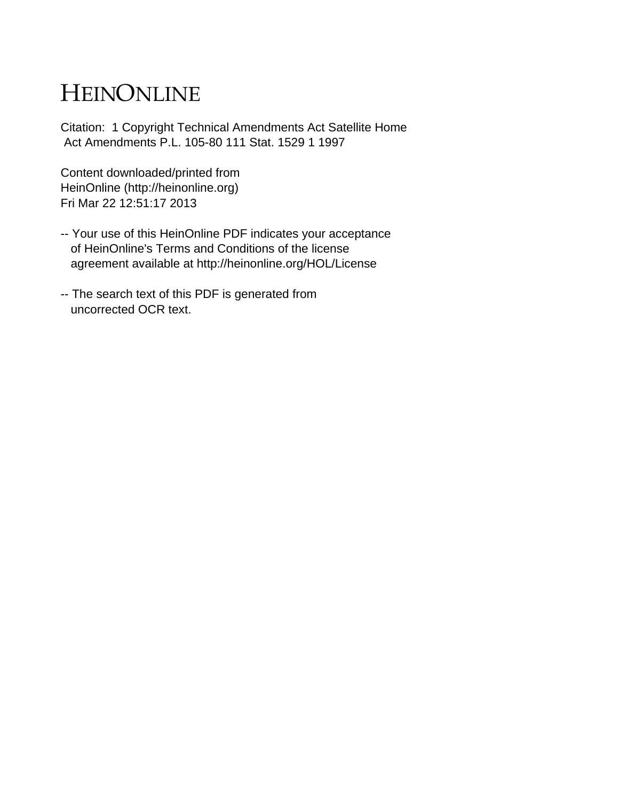# HEINONLINE

Citation: 1 Copyright Technical Amendments Act Satellite Home Act Amendments P.L. 105-80 111 Stat. 1529 1 1997

Content downloaded/printed from HeinOnline (http://heinonline.org) Fri Mar 22 12:51:17 2013

- -- Your use of this HeinOnline PDF indicates your acceptance of HeinOnline's Terms and Conditions of the license agreement available at http://heinonline.org/HOL/License
- -- The search text of this PDF is generated from uncorrected OCR text.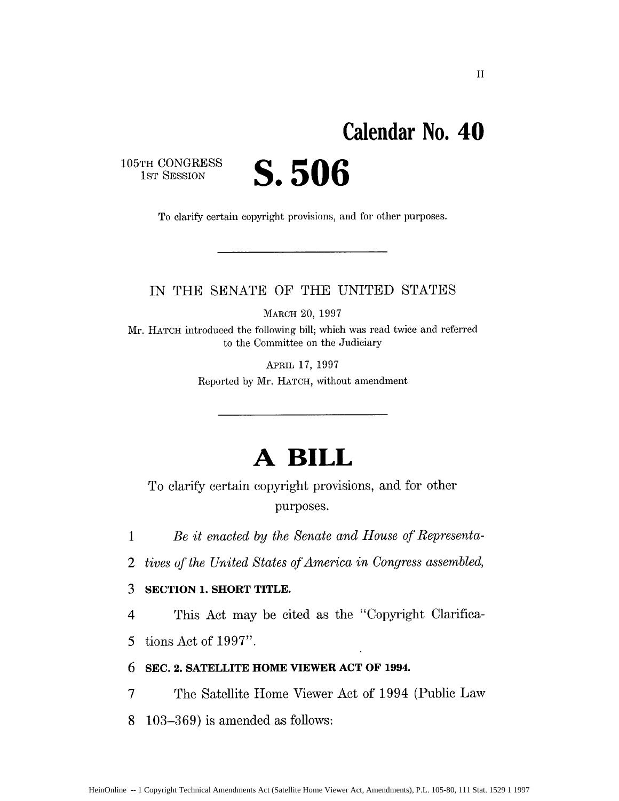# **Calendar No. 40**

**105TH CONGRESS**

**IST** SESSION **S. 506**

To clarify certain copyright provisions, and for other purposes.

## IN THE SENATE OF THE UNITED STATES

MARCH 20, 1997

Mr. HATCH introduced the following bill; which was read twice and referred to the Committee on the Judiciary

> APRIL 17, 1997 Reported by Mr. HATCH, without amendment

## **A BILL**

To clarify certain copyright provisions, and for other purposes.

*1 Be it enacted by the Senate and House of Representa-*

*2 tives of the United States of America in Congress assembled,*

## **3 SECTION 1. SHORT TITLE.**

4 This Act may be cited as the "Copyright Clarifica-

5 tions Act of 1997".

## **6 SEC. 2. SATELLITE HOME VIEWER ACT OF 1994.**

7 The Satellite Home Viewer Act of 1994 (Public Law

**8** 103-369) is amended as follows: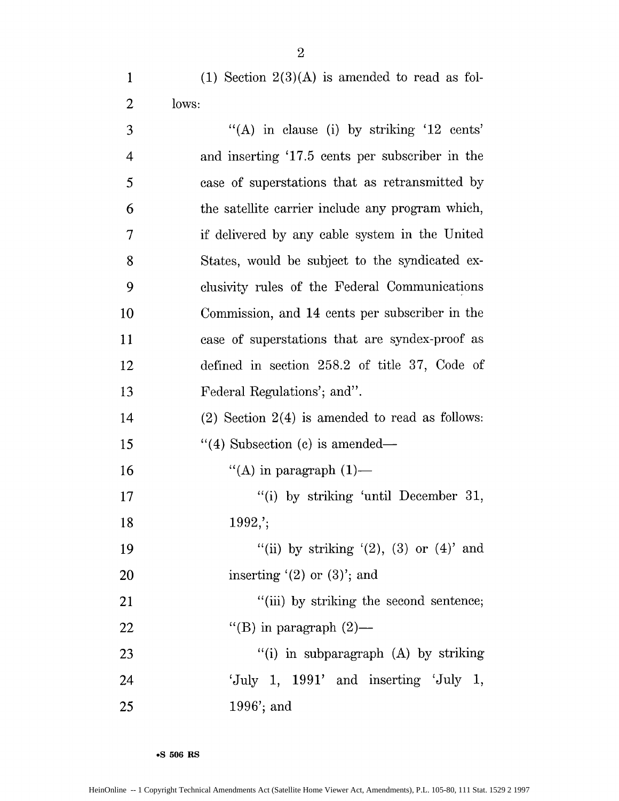1 (1) Section  $2(3)(A)$  is amended to read as fol-2 lows:

| 3              | "(A) in clause (i) by striking '12 cents'           |
|----------------|-----------------------------------------------------|
| $\overline{4}$ | and inserting '17.5 cents per subscriber in the     |
| 5              | case of superstations that as retransmitted by      |
| 6              | the satellite carrier include any program which,    |
| 7              | if delivered by any cable system in the United      |
| 8              | States, would be subject to the syndicated ex-      |
| 9              | clusivity rules of the Federal Communications       |
| 10             | Commission, and 14 cents per subscriber in the      |
| 11             | case of superstations that are syndex-proof as      |
| 12             | defined in section 258.2 of title 37, Code of       |
| 13             | Federal Regulations'; and".                         |
| 14             | $(2)$ Section $2(4)$ is amended to read as follows: |
| 15             | $\lq(4)$ Subsection (c) is amended—                 |
| 16             | "(A) in paragraph $(1)$ —                           |
| 17             | "(i) by striking 'until December 31,                |
| 18             | $1992$ ;                                            |
| 19             | "(ii) by striking $'(2)$ , $(3)$ or $(4)$ " and     |
| 20             | inserting $(2)$ or $(3)$ ; and                      |
| 21             | "(iii) by striking the second sentence;             |
| 22             | "(B) in paragraph $(2)$ —                           |
| 23             | "(i) in subparagraph $(A)$ by striking              |
| 24             | 'July 1, $1991'$ and inserting 'July 1,             |
| 25             | $1996$ ; and                                        |

**\*S 506 RS**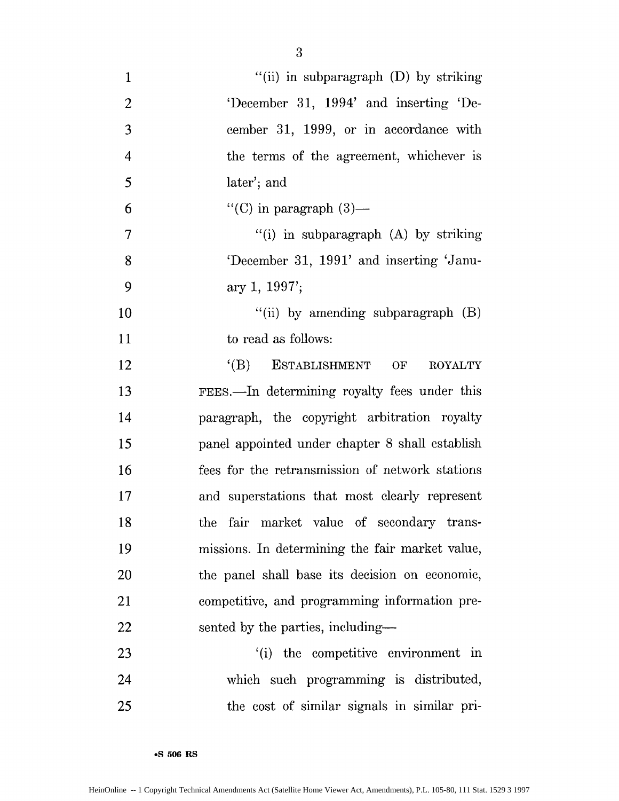| $\mathbf{1}$   | "(ii) in subparagraph $(D)$ by striking         |
|----------------|-------------------------------------------------|
| $\overline{c}$ | 'December 31, 1994' and inserting 'De-          |
| 3              | cember 31, 1999, or in accordance with          |
| $\overline{4}$ | the terms of the agreement, whichever is        |
| 5              | later'; and                                     |
| 6              | "(C) in paragraph $(3)$ —                       |
| 7              | "(i) in subparagraph (A) by striking            |
| 8              | 'December 31, 1991' and inserting 'Janu-        |
| 9              | ary 1, $1997'$ ;                                |
| 10             | "(ii) by amending subparagraph $(B)$            |
| 11             | to read as follows:                             |
| 12             | (B) ESTABLISHMENT<br>OF<br><b>ROYALTY</b>       |
| 13             | FEES.—In determining royalty fees under this    |
| 14             | paragraph, the copyright arbitration royalty    |
| 15             | panel appointed under chapter 8 shall establish |
| 16             | fees for the retransmission of network stations |
| 17             | and superstations that most clearly represent   |
| 18             | fair market value of secondary trans-<br>the    |
| 19             | missions. In determining the fair market value, |
| 20             | the panel shall base its decision on economic,  |
| 21             | competitive, and programming information pre-   |
| 22             | sented by the parties, including—               |
| 23             | (i) the competitive environment in              |
| 24             | which such programming is distributed,          |
| 25             | the cost of similar signals in similar pri-     |

**eS 506 RS**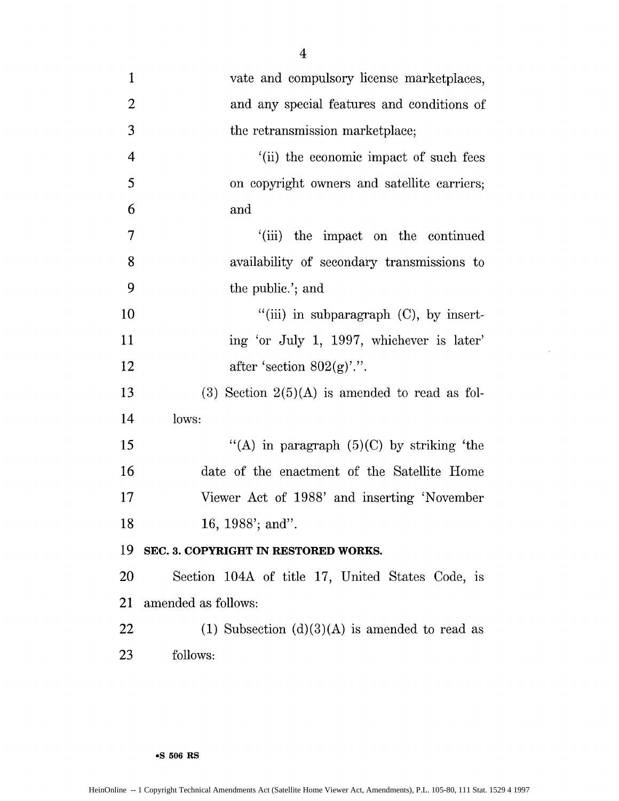| $\mathbf{1}$   | vate and compulsory license marketplaces,          |
|----------------|----------------------------------------------------|
| $\overline{2}$ | and any special features and conditions of         |
| 3              | the retransmission marketplace;                    |
| $\overline{4}$ | '(ii) the economic impact of such fees             |
| 5              | on copyright owners and satellite carriers;        |
| 6              | and                                                |
| 7              | the impact on the continued<br>$^{\prime}$ (iii)   |
| 8              | availability of secondary transmissions to         |
| 9              | the public.'; and                                  |
| 10             | $``(iii)$ in subparagraph $(C)$ , by insert-       |
| 11             | ing 'or July 1, 1997, whichever is later'          |
| 12             | after 'section $802(g)$ '.".                       |
| 13             | $(3)$ Section $2(5)(A)$ is amended to read as fol- |
| 14             | lows:                                              |
| 15             | "(A) in paragraph $(5)(C)$ by striking 'the        |
| 16             | date of the enactment of the Satellite Home        |
| 17             | Viewer Act of 1988' and inserting 'November        |
| 18             | 16, 1988'; and".                                   |
| 19             | SEC. 3. COPYRIGHT IN RESTORED WORKS.               |
| <b>20</b>      | Section 104A of title 17, United States Code, is   |
| 21             | amended as follows:                                |
| 22             | (1) Subsection $(d)(3)(A)$ is amended to read as   |
| 23             | follows:                                           |

 $\mathcal{L}^{\pm}$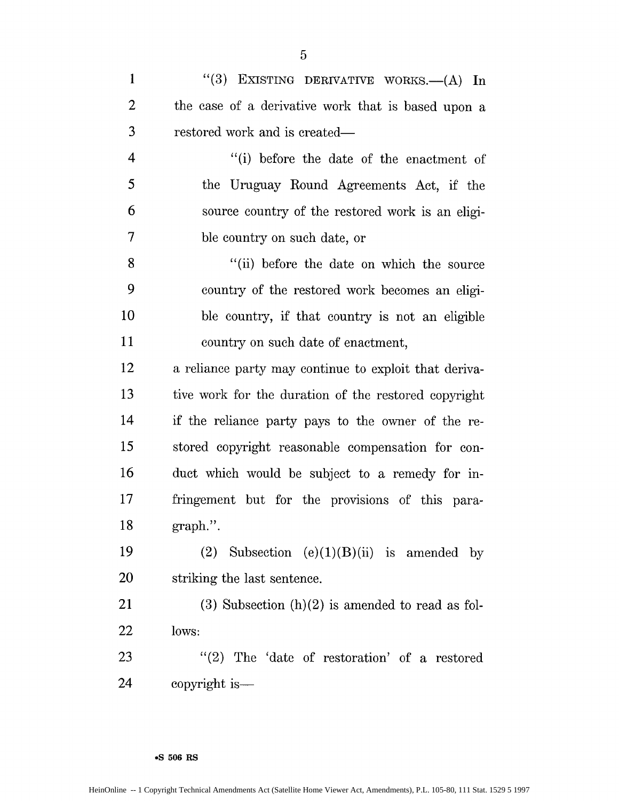1 "(3) EXISTING DERIVATIVE WORKS.--(A) In 2 the case of a derivative work that is based upon a 3 restored work and is created-4 "(i) before the date of the enactment of 5 the Uruguay Round Agreements Act, if the

6 source country of the restored work is an eligi-7 ble country on such date, or 8 "(ii) before the date on which the source

9 country of the restored work becomes an eligi-10 ble country, if that country is not an eligible 11 country on such date of enactment,

12 a reliance party may continue to exploit that deriva-13 tive work for the duration of the restored copyright 14 if the reliance party pays to the owner of the re-15 stored copyright reasonable compensation for con-16 duct which would be subject to a remedy for in-17 fringement but for the provisions of this para-18 graph.".

19 (2) Subsection  $(e)(1)(B)(ii)$  is amended by 20 striking the last sentence.

21 (3) Subsection  $(h)(2)$  is amended to read as fol-22 lows:

23 "(2) The 'date of restoration' of a restored 24 copyright is —

#### **•S 506 RS**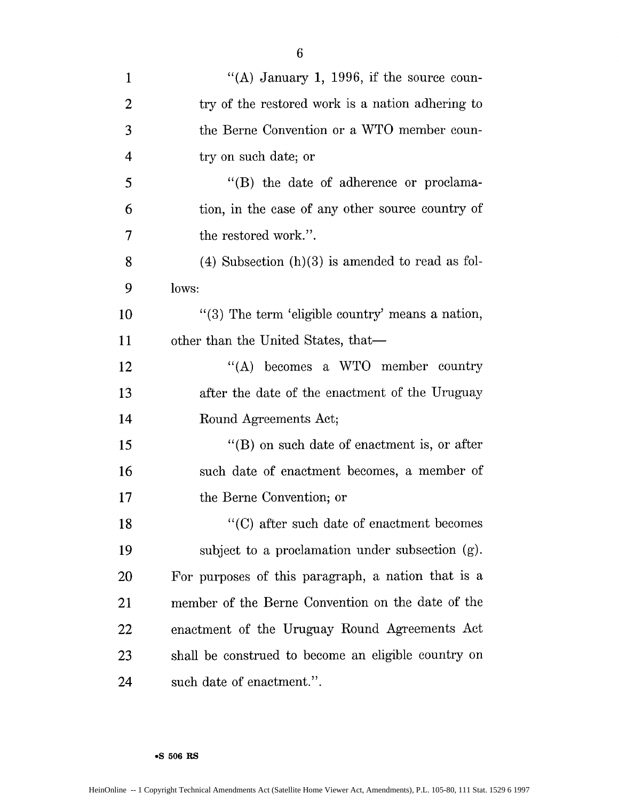| $\mathbf{1}$   | "(A) January 1, 1996, if the source coun-            |
|----------------|------------------------------------------------------|
| $\overline{2}$ | try of the restored work is a nation adhering to     |
| 3              | the Berne Convention or a WTO member coun-           |
| $\overline{4}$ | try on such date; or                                 |
| 5              | "(B) the date of adherence or proclama-              |
| 6              | tion, in the case of any other source country of     |
| 7              | the restored work.".                                 |
| 8              | $(4)$ Subsection $(h)(3)$ is amended to read as fol- |
| 9              | lows:                                                |
| 10             | "(3) The term 'eligible country' means a nation,     |
| 11             | other than the United States, that—                  |
| 12             | "(A) becomes a WTO member country                    |
| 13             | after the date of the enactment of the Uruguay       |
| 14             | Round Agreements Act;                                |
| 15             | $\lq\lq$ on such date of enactment is, or after      |
| 16             | such date of enactment becomes, a member of          |
| 17             | the Berne Convention; or                             |
| 18             | "(C) after such date of enactment becomes            |
| 19             | subject to a proclamation under subsection (g).      |
| 20             | For purposes of this paragraph, a nation that is a   |
| 21             | member of the Berne Convention on the date of the    |
| 22             | enactment of the Uruguay Round Agreements Act        |
| 23             | shall be construed to become an eligible country on  |
| 24             | such date of enactment.".                            |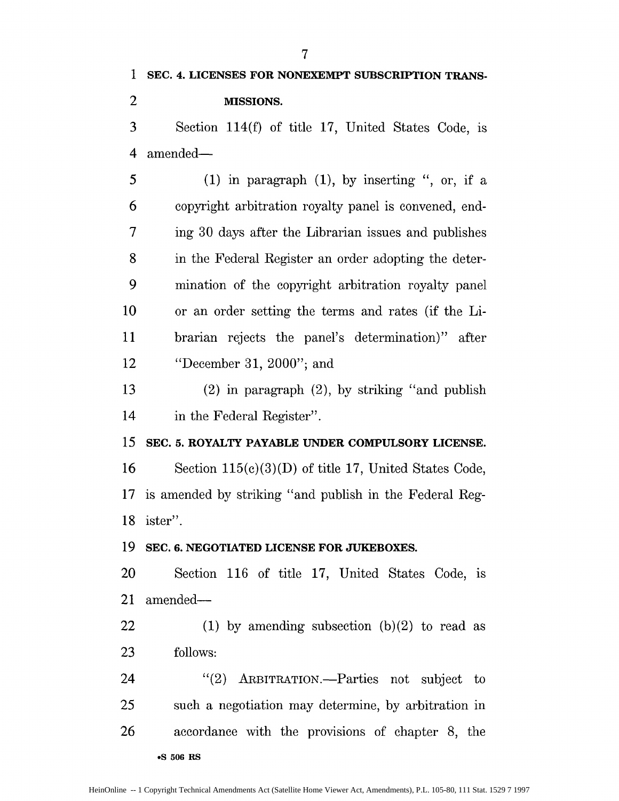2 **MISSIONS.**

3 Section 114(f) of title 17, United States Code, is 4 amended-

 $5$  (1) in paragraph (1), by inserting ", or, if a 6 copyright arbitration royalty panel is convened, end-7 ing 30 days after the Librarian issues and publishes 8 in the Federal Register an order adopting the deter-9 mination of the copyright arbitration royalty panel 10 or an order setting the terms and rates (if the Li-11 brarian rejects the panel's determination)" after 12 "December 31, 2000"; and

13 (2) in paragraph (2), by striking "and publish 14 in the Federal Register".

**15 SEC. 5. ROYALTY PAYABLE UNDER COMPULSORY LICENSE.**

16 Section 115(c)(3)(D) of title 17, United States Code, 17 is amended by striking "and publish in the Federal Reg-18 ister".

**19 SEC. 6. NEGOTIATED LICENSE FOR JUKEBOXES.**

20 Section 116 of title 17, United States Code, is 21 amended-

22 (1) by amending subsection  $(b)(2)$  to read as 23 follows:

24 "(2) ARBITRATION.—Parties not subject to 25 such a negotiation may determine, by arbitration in 26 accordance with the provisions of chapter 8, the **\*S 506 RS**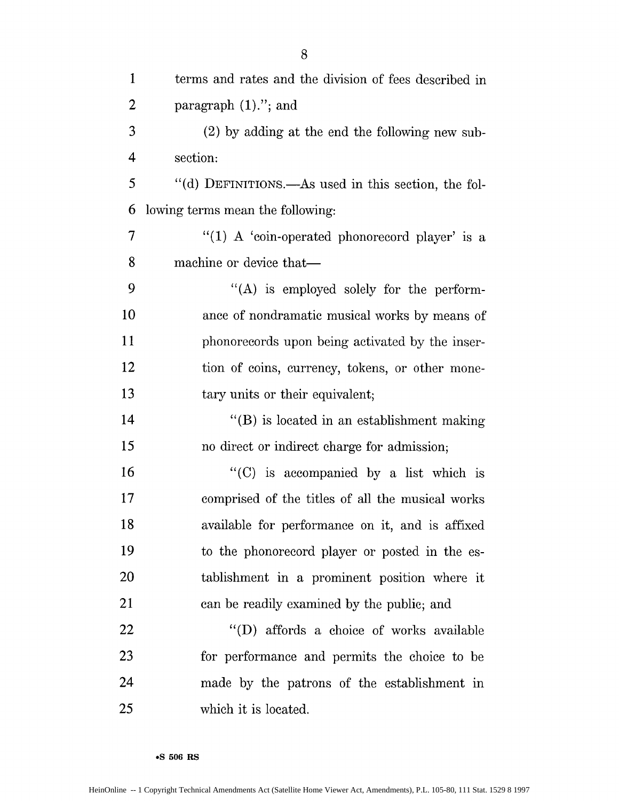| $\mathbf{1}$   | terms and rates and the division of fees described in |
|----------------|-------------------------------------------------------|
| $\overline{2}$ | paragraph $(1)$ ."; and                               |
| 3              | $(2)$ by adding at the end the following new sub-     |
| 4              | section:                                              |
| 5              | "(d) DEFINITIONS.—As used in this section, the fol-   |
| 6              | lowing terms mean the following:                      |
| 7              | "(1) A 'coin-operated phonorecord player' is a        |
| 8              | machine or device that-                               |
| 9              | "(A) is employed solely for the perform-              |
| 10             | ance of nondramatic musical works by means of         |
| 11             | phonorecords upon being activated by the inser-       |
| 12             | tion of coins, currency, tokens, or other mone-       |
| 13             | tary units or their equivalent;                       |
| 14             | "(B) is located in an establishment making            |
| 15             | no direct or indirect charge for admission;           |
| 16             | "(C) is accompanied by a list which is                |
| 17             | comprised of the titles of all the musical works      |
| 18             | available for performance on it, and is affixed       |
| 19             | to the phonorecord player or posted in the es-        |
| 20             | tablishment in a prominent position where it          |
| 21             | can be readily examined by the public; and            |
| 22             | "(D) affords a choice of works available              |
| 23             | for performance and permits the choice to be          |
| 24             | made by the patrons of the establishment in           |
| 25             | which it is located.                                  |

**.S 506 RS**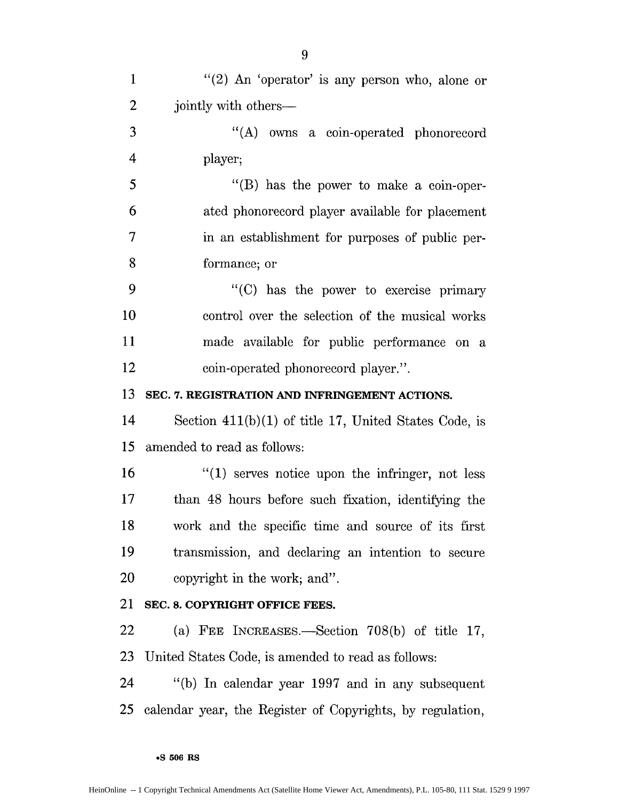| $\mathbf{1}$   | "(2) An 'operator' is any person who, alone or            |
|----------------|-----------------------------------------------------------|
| $\overline{2}$ | jointly with others—                                      |
| 3              | "(A) owns a coin-operated phonorecord                     |
| $\overline{4}$ | player;                                                   |
| 5              | "(B) has the power to make a coin-oper-                   |
| 6              | ated phonorecord player available for placement           |
| 7              | in an establishment for purposes of public per-           |
| 8              | formance; or                                              |
| 9              | "(C) has the power to exercise primary                    |
| 10             | control over the selection of the musical works           |
| 11             | made available for public performance on a                |
| 12             | coin-operated phonorecord player.".                       |
| 13             | SEC. 7. REGISTRATION AND INFRINGEMENT ACTIONS.            |
| 14             | Section $411(b)(1)$ of title 17, United States Code, is   |
| 15             | amended to read as follows:                               |
| 16             | $"(1)$ serves notice upon the infringer, not less         |
| 17             | than 48 hours before such fixation, identifying the       |
| 18             | work and the specific time and source of its first        |
| 19             | transmission, and declaring an intention to secure        |
| 20             | copyright in the work; and".                              |
| 21             | SEC. 8. COPYRIGHT OFFICE FEES.                            |
| 22             | (a) FEE INCREASES.—Section $708(b)$ of title 17,          |
| 23             | United States Code, is amended to read as follows:        |
| 24             | "(b) In calendar year 1997 and in any subsequent          |
| 25             | calendar year, the Register of Copyrights, by regulation, |
|                |                                                           |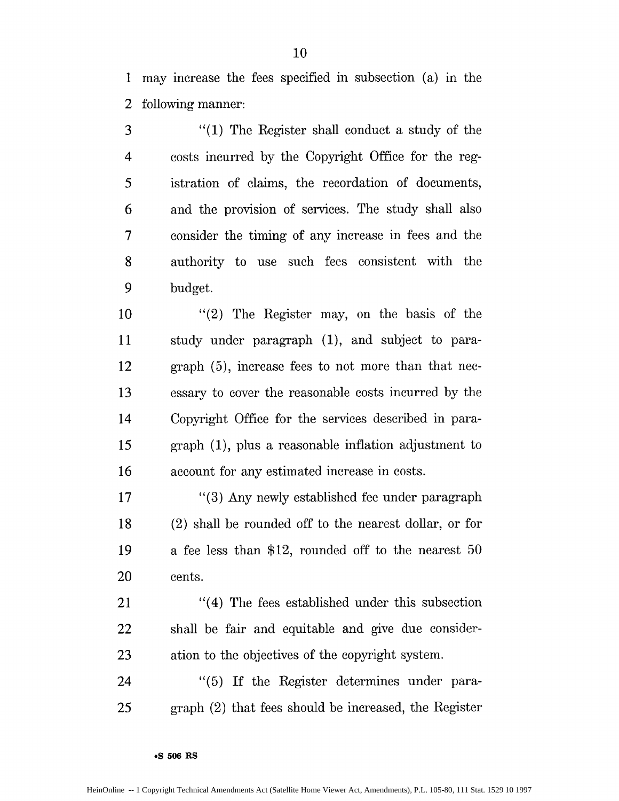1 may increase the fees specified in subsection (a) in the 2 following manner:

3 "(1) The Register shall conduct a study of the 4 costs incurred by the Copyright Office for the reg-5 istration of claims, the recordation of documents, 6 and the provision of services. The study shall also 7 consider the timing of any increase in fees and the 8 authority to use such fees consistent with the 9 budget.

10 "(2) The Register may, on the basis of the 11 study under paragraph (1), and subject to para-12 graph (5), increase fees to not more than that nec-**13** essary to cover the reasonable costs incurred by the 14 Copyright Office for the services described in para-*15* graph (1), plus a reasonable inflation adjustment to 16 account for any estimated increase in costs.

17 "(3) Any newly established fee under paragraph 18 (2) shall be rounded off to the nearest dollar, or for 19 a fee less than \$12, rounded off to the nearest 50 20 cents.

21 "(4) The fees established under this subsection 22 shall be fair and equitable and give due consider-23 ation to the objectives of the copyright system.

24 "(5) **If** the Register determines under para-25 graph (2) that fees should be increased, the Register

**oS 506 RS**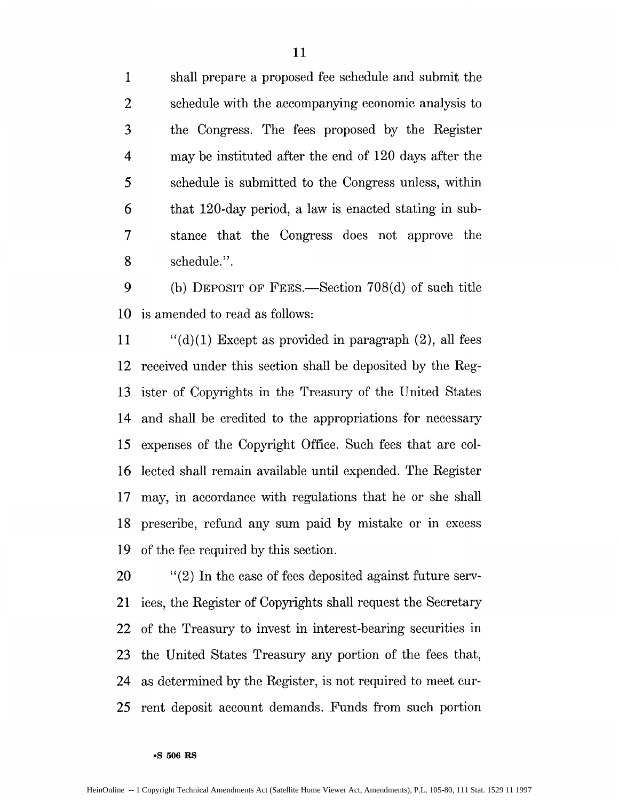1 shall prepare a proposed fee schedule and submit the 2 schedule with the accompanying economic analysis to 3 the Congress. The fees proposed by the Register 4 may be instituted after the end of 120 days after the 5 schedule is submitted to the Congress unless, within 6 that 120-day period, a law is enacted stating in sub-7 stance that the Congress does not approve the 8 schedule.".

**9** (b) **DEPOSIT OF FEES.**—Section 708(d) of such title 10 is amended to read as follows:

11  $\qquad$  "(d)(1) Except as provided in paragraph (2), all fees 12 received under this section shall be deposited by the Reg-13 ister of Copyrights in the Treasury of the United States 14 and shall be credited to the appropriations for necessary 15 expenses of the Copyright Office. Such fees that are col-16 lected shall remain available until expended. The Register 17 may, in accordance with regulations that he or she shall 18 prescribe, refund any sum paid by mistake or in excess 19 of the fee required by this section.

20 "(2) In the case of fees deposited against future serv-21 ices, the Register of Copyrights shall request the Secretary 22 of the Treasury to invest in interest-bearing securities in 23 the United States Treasury any portion of the fees that, 24 as determined by the Register, is not required to meet cur-25 rent deposit account demands. Funds from such portion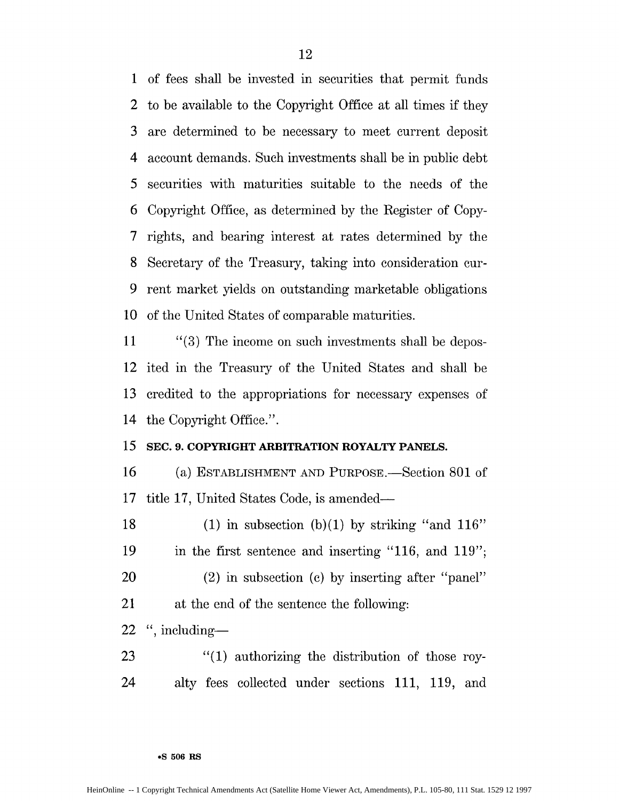1 of fees shall be invested in securities that permit funds 2 to be available to the Copyright Office at all times if they 3 are determined to be necessary to meet current deposit 4 account demands. Such investments shall be in public debt *5* securities with maturities suitable to the needs of the 6 Copyright Office, as determined by the Register of Copy-7 rights, and bearing interest at rates determined by the 8 Secretary of the Treasury, taking into consideration cur-9 rent market yields on outstanding marketable obligations 10 of the United States of comparable maturities.

11 "(3) The income on such investments shall be depos-12 ited in the Treasury of the United States and shall be 13 credited to the appropriations for necessary expenses of 14 the Copyright Office.".

## **15 SEC. 9. COPYRIGHT ARBITRATION ROYALTY PANELS.**

**16** (a) ESTABLISHMENT **AND** PURPOSE.-Section 801 of 17 title 17, United States Code, is amended-

18 (1) in subsection (b)(1) by striking "and  $116"$ 19 in the first sentence and inserting "116, and 119"; 20 (2) in subsection (c) by inserting after "panel"

21 at the end of the sentence the following:

 $22$  ", including-

23 "(1) authorizing the distribution of those roy-24 alty fees collected under sections 111, 119, and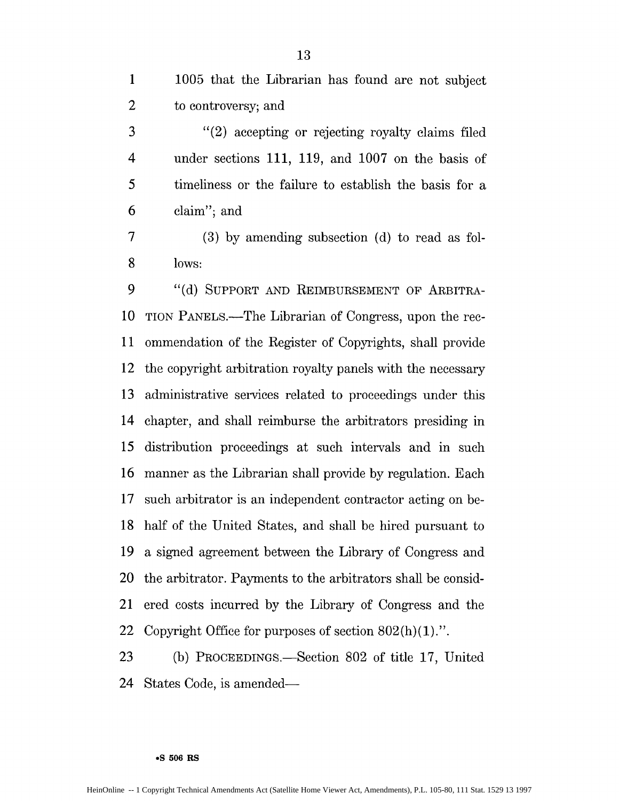| 1005 that the Librarian has found are not subject |
|---------------------------------------------------|
| to controversy; and                               |

3 "(2) accepting or rejecting royalty claims filed 4 under sections 111, 119, and 1007 on the basis of 5 timeliness or the failure to establish the basis for a 6 claim"; and

7 (3) by amending subsection (d) to read as fol-8 lows:

9 "(d) SUPPORT AND REIMBURSEMENT OF ARBITRA-10 TION PANELS.—The Librarian of Congress, upon the rec-11 ommendation of the Register of Copyrights, shall provide 12 the copyright arbitration royalty panels with the necessary 13 administrative services related to proceedings under this 14 chapter, and shall reimburse the arbitrators presiding in 15 distribution proceedings at such intervals and in such 16 manner as the Librarian shall provide by regulation. Each 17 such arbitrator is an independent contractor acting on be-18 half of the United States, and shall be hired pursuant to 19 a signed agreement between the Library of Congress and 20 the arbitrator. Payments to the arbitrators shall be consid-21 ered costs incurred by the Library of Congress and the 22 Copyright Office for purposes of section  $802(h)(1)$ .".

23 (b) PROCEEDINGS.—Section 802 of title 17, United 24 States Code, is amended—

#### **\*S 506 RS**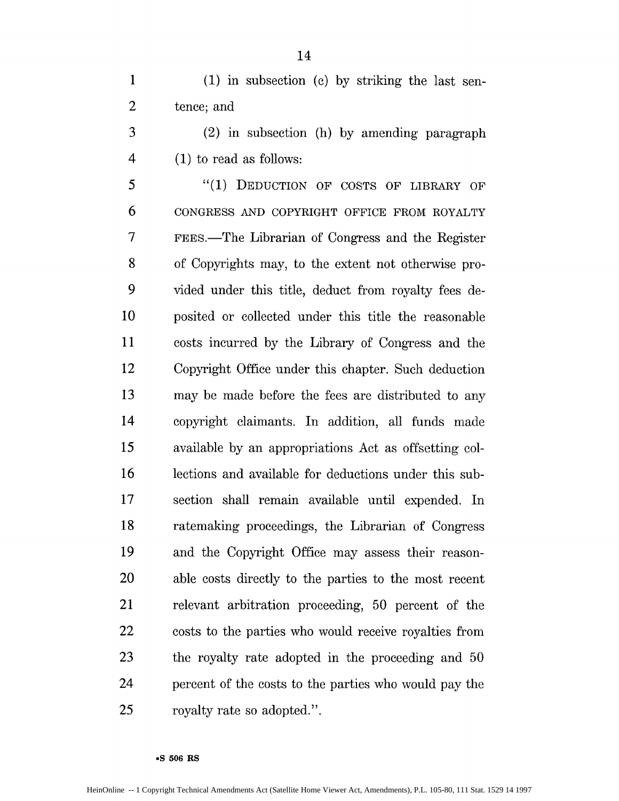3 (2) in subsection (h) by amending paragraph 4 (1) to read as follows:

5 "(1) DEDUCTION OF **COSTS** OF LIBRARY OF 6 **CONGRESS AND** COPYRIGHT **OFFICE** FROM ROYALTY 7 FEES.-The Librarian of Congress and the Register 8 of Copyrights may, to the extent not otherwise pro-9 vided under this title, deduct from royalty fees de-10 posited or collected under this title the reasonable 11 costs incurred by the Library of Congress and the 12 Copyright Office under this chapter. Such deduction 13 may be made before the fees are distributed to any 14 copyright claimants. In addition, all funds made 15 available by an appropriations Act as offsetting col-16 lections and available for deductions under this sub-17 section shall remain available until expended. In 18 ratemaking proceedings, the Librarian of Congress 19 and the Copyright Office may assess their reason-20 able costs directly to the parties to the most recent 21 relevant arbitration proceeding, 50 percent of the 22 costs to the parties who would receive royalties from 23 the royalty rate adopted in the proceeding and 50 24 percent of the costs to the parties who would pay the 25 royalty rate so adopted.".

#### **9S 506 RS**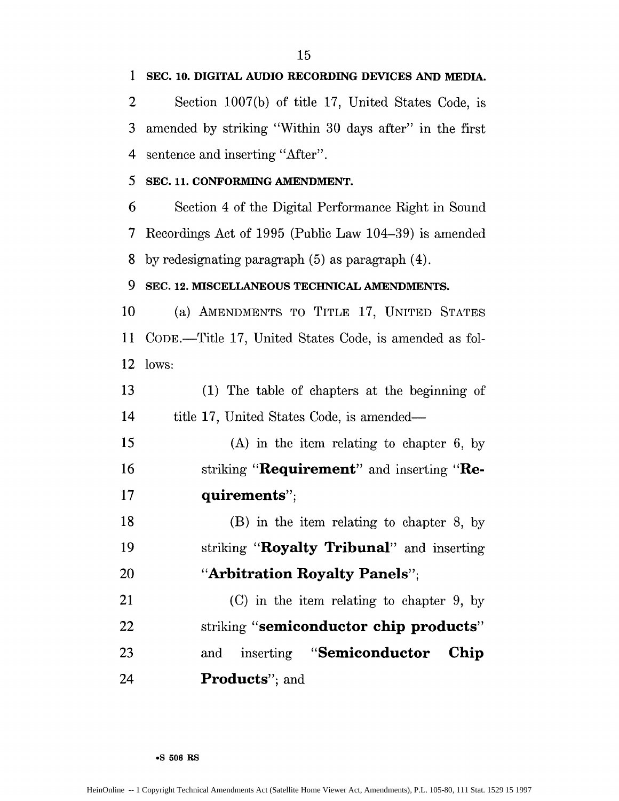3 amended by striking "Within 30 days after" in the first 4 sentence and inserting "After". 5 **SEC. 11. CONFORMING AMENDMENT.** 8 by redesignating paragraph (5) as paragraph (4). **9 SEC. 12. MISCELLANEOUS TECHNICAL AMENDMENTS.** 10 (a) AMENDMENTS TO TITLE 17, UNITED STATES 12 lows: 14 title 17, United States Code, is amended— **17 quirements";** 18 (B) in the item relating to chapter 8, by 20 **"Arbitration Royalty Panels";** 21 (C) in the item relating to chapter 9, by 22 striking **"semiconductor chip products"** 23 and inserting "Semiconductor **Chip** 24 **Products";** and

6 Section 4 of the Digital Performance Right in Sound 7 Recordings Act of 1995 (Public Law 104-39) is amended

11 CODE.-Title 17, United States Code, is amended as fol-

13 (1) The table of chapters at the beginning of

15 (A) in the item relating to chapter 6, by 16 striking **"Requirement"** and inserting **"Re-**

19 striking "**Royalty Tribunal**" and inserting

1 **SEC. 10. DIGITAL AUDIO RECORDING DEVICES AND MEDIA.**

2 Section 1007(b) of title 17, United States Code, is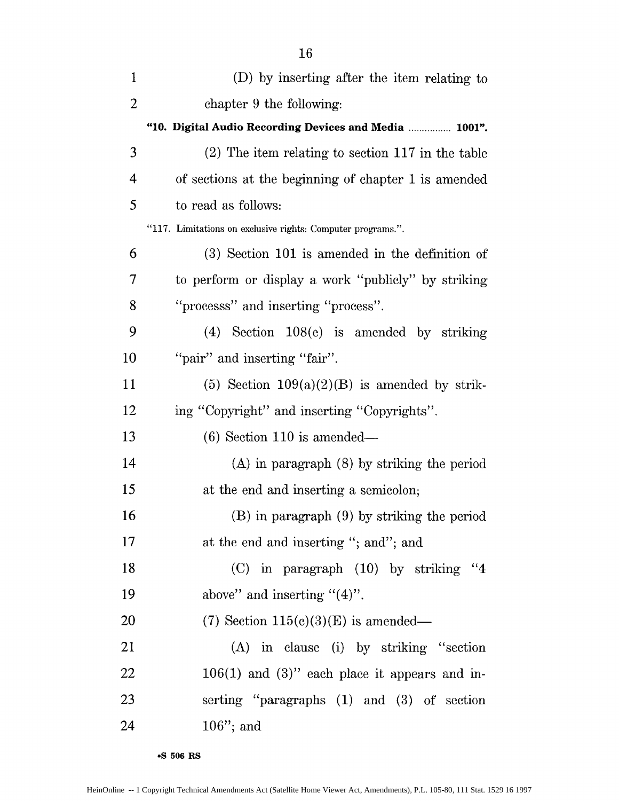| $\mathbf{1}$   | (D) by inserting after the item relating to                 |
|----------------|-------------------------------------------------------------|
| $\overline{2}$ | chapter 9 the following:                                    |
|                | "10. Digital Audio Recording Devices and Media  1001".      |
| 3              | $(2)$ The item relating to section 117 in the table         |
| 4              | of sections at the beginning of chapter 1 is amended        |
| 5              | to read as follows:                                         |
|                | "117. Limitations on exclusive rights: Computer programs.". |
| 6              | $(3)$ Section 101 is amended in the definition of           |
| 7              | to perform or display a work "publicly" by striking         |
| 8              | "processs" and inserting "process".                         |
| 9              | $(4)$ Section 108(e) is amended by striking                 |
| 10             | "pair" and inserting "fair".                                |
| 11             | (5) Section $109(a)(2)(B)$ is amended by strik-             |
| 12             | ing "Copyright" and inserting "Copyrights".                 |
| 13             | $(6)$ Section 110 is amended—                               |
| 14             | $(A)$ in paragraph $(8)$ by striking the period             |
| 15             | at the end and inserting a semicolon;                       |
| 16             | (B) in paragraph (9) by striking the period                 |
| 17             | at the end and inserting "; and"; and                       |
| 18             | $(C)$ in paragraph $(10)$ by striking "4                    |
| 19             | above" and inserting " $(4)$ ".                             |
| 20             | $(7)$ Section 115(c)(3)(E) is amended—                      |
| 21             | (A) in clause (i) by striking "section                      |
| 22             | $106(1)$ and $(3)$ " each place it appears and in-          |
| 23             | serting "paragraphs (1) and (3) of section                  |
| 24             | $106$ "; and                                                |
|                |                                                             |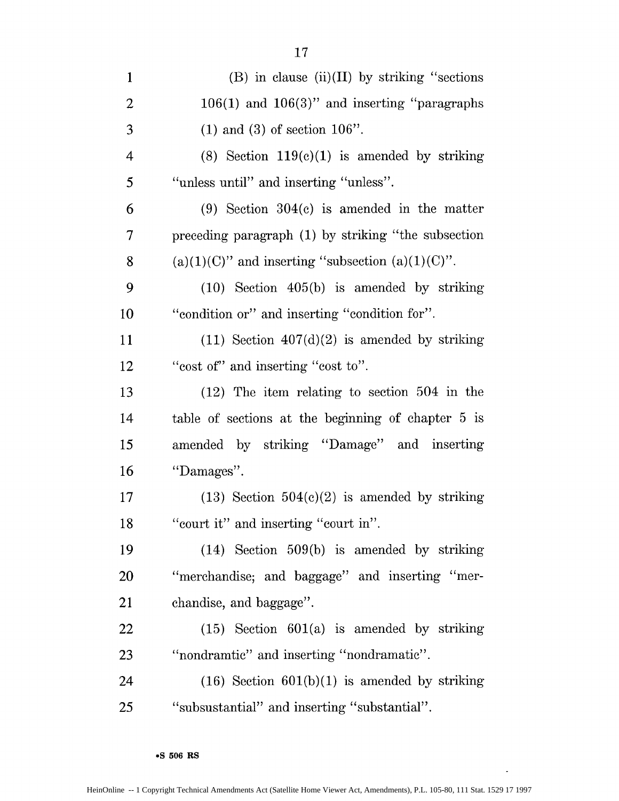| $\mathbf{1}$             | (B) in clause $(ii)(II)$ by striking "sections"        |
|--------------------------|--------------------------------------------------------|
| $\overline{2}$           | $106(1)$ and $106(3)$ " and inserting "paragraphs"     |
| 3                        | $(1)$ and $(3)$ of section $106$ ".                    |
| $\overline{\mathcal{A}}$ | $(8)$ Section 119 $(e)(1)$ is amended by striking      |
| 5                        | "unless until" and inserting "unless".                 |
| 6                        | $(9)$ Section 304 $(c)$ is amended in the matter       |
| 7                        | preceding paragraph (1) by striking "the subsection    |
| 8                        | $(a)(1)(C)$ " and inserting "subsection $(a)(1)(C)$ ". |
| 9                        | $(10)$ Section $405(b)$ is amended by striking         |
| 10                       | "condition or" and inserting "condition for".          |
| 11                       | $(11)$ Section $407(d)(2)$ is amended by striking      |
| 12                       | "cost of" and inserting "cost to".                     |
| 13                       | $(12)$ The item relating to section 504 in the         |
| 14                       | table of sections at the beginning of chapter 5 is     |
| 15                       | amended by striking "Damage" and inserting             |
| 16                       | "Damages".                                             |
| 17                       | $(13)$ Section $504(c)(2)$ is amended by striking      |
| 18                       | "court it" and inserting "court in".                   |
| 19                       | $(14)$ Section 509(b) is amended by striking           |
| <b>20</b>                | "merchandise; and baggage" and inserting "mer-         |
| 21                       | chandise, and baggage".                                |
| <b>22</b>                | $(15)$ Section $601(a)$ is amended by striking         |
| 23                       | "nondramtic" and inserting "nondramatic".              |
| 24                       | $(16)$ Section $601(b)(1)$ is amended by striking      |
| 25                       | "subsustantial" and inserting "substantial".           |

17

 $\mathbb{Z}^2$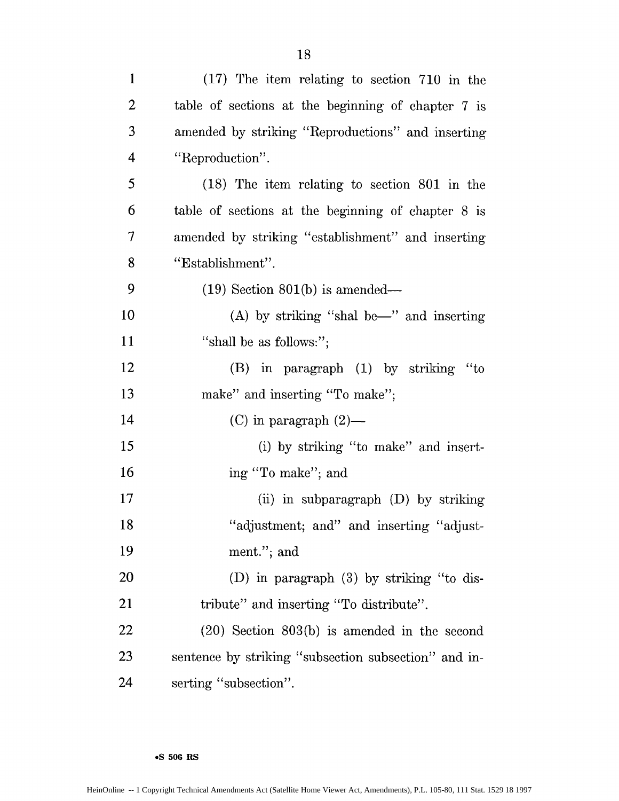| $\mathbf{1}$   | $(17)$ The item relating to section 710 in the       |
|----------------|------------------------------------------------------|
| $\overline{2}$ | table of sections at the beginning of chapter 7 is   |
| 3              | amended by striking "Reproductions" and inserting    |
| $\overline{4}$ | "Reproduction".                                      |
| 5              | (18) The item relating to section 801 in the         |
| 6              | table of sections at the beginning of chapter 8 is   |
| 7              | amended by striking "establishment" and inserting    |
| 8              | "Establishment".                                     |
| 9              | $(19)$ Section 801(b) is amended—                    |
| 10             | $(A)$ by striking "shal be—" and inserting           |
| 11             | "shall be as follows:";                              |
| 12             | (B) in paragraph (1) by striking "to                 |
| 13             | make" and inserting "To make";                       |
| 14             | (C) in paragraph $(2)$ —                             |
| 15             | (i) by striking "to make" and insert-                |
| 16             | ing "To make"; and                                   |
| 17             | (ii) in subparagraph $(D)$ by striking               |
| 18             | "adjustment; and" and inserting "adjust-             |
| 19             | ment."; and                                          |
| 20             | (D) in paragraph $(3)$ by striking "to dis-          |
| 21             | tribute" and inserting "To distribute".              |
| 22             | $(20)$ Section $803(b)$ is amended in the second     |
| 23             | sentence by striking "subsection subsection" and in- |
| 24             | serting "subsection".                                |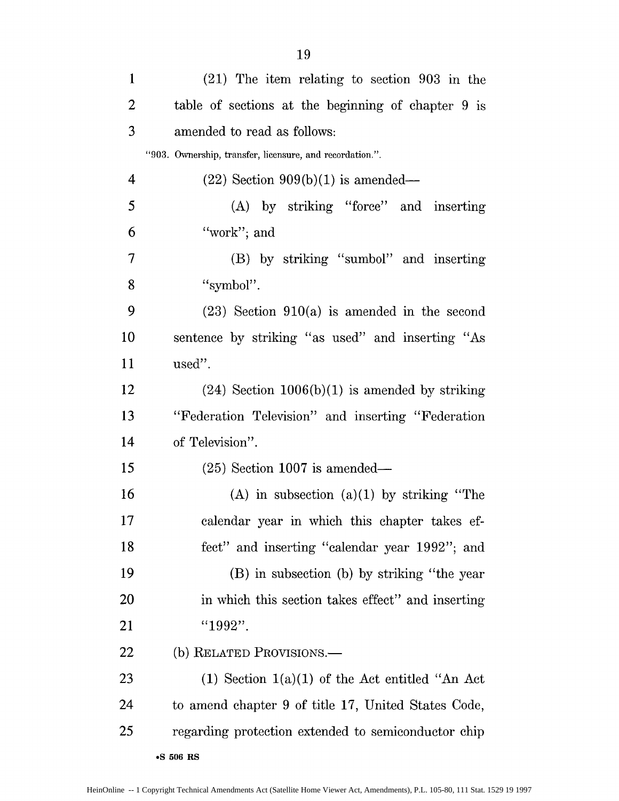| $\mathbf{1}$   | $(21)$ The item relating to section 903 in the           |
|----------------|----------------------------------------------------------|
| $\overline{2}$ | table of sections at the beginning of chapter 9 is       |
| 3              | amended to read as follows:                              |
|                | "903. Ownership, transfer, licensure, and recordation.". |
| 4              | $(22)$ Section $909(b)(1)$ is amended—                   |
| 5              | (A) by striking "force" and inserting                    |
| 6              | "work"; and                                              |
| 7              | (B) by striking "sumbol" and inserting                   |
| 8              | "symbol".                                                |
| 9              | $(23)$ Section $910(a)$ is amended in the second         |
| 10             | sentence by striking "as used" and inserting "As         |
| <sup>11</sup>  | used".                                                   |
| 12             | $(24)$ Section 1006(b)(1) is amended by striking         |
| 13             | "Federation Television" and inserting "Federation"       |
| 14             | of Television".                                          |
| 15             | $(25)$ Section 1007 is amended—                          |
| 16             | $(A)$ in subsection $(a)(1)$ by striking "The            |
| 17             | calendar year in which this chapter takes ef-            |
| 18             | fect" and inserting "calendar year 1992"; and            |
| 19             | (B) in subsection (b) by striking "the year              |
| <b>20</b>      | in which this section takes effect" and inserting        |
| 21             | "1992".                                                  |
| 22             | (b) RELATED PROVISIONS.—                                 |
| 23             | $(1)$ Section $1(a)(1)$ of the Act entitled "An Act      |
| 24             | to amend chapter 9 of title 17, United States Code,      |
| 25             | regarding protection extended to semiconductor chip      |
|                | <b>-S 506 RS</b>                                         |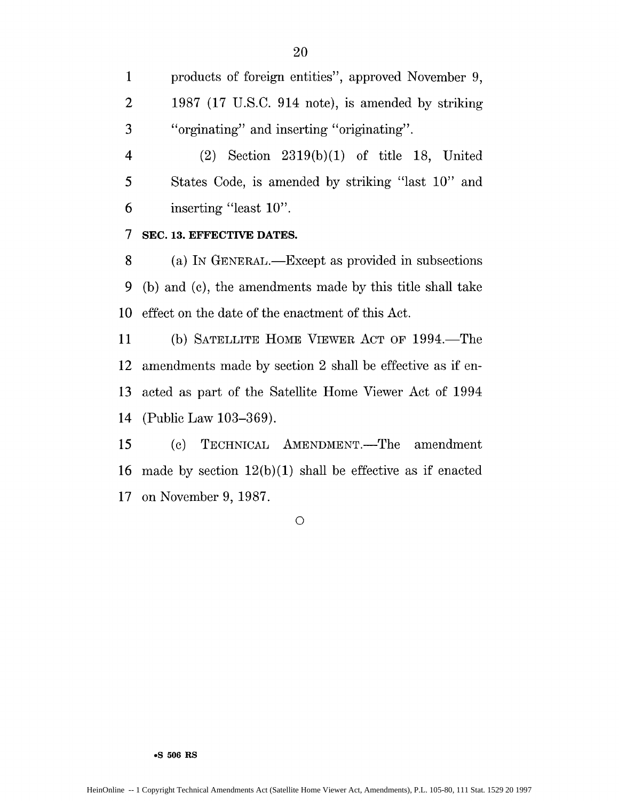1 products of foreign entities", approved November 9, 2 1987 (17 U.S.C. 914 note), is amended by striking 3 "orginating" and inserting "originating".

4 (2) Section 2319(b)(1) of title 18, United 5 States Code, is amended by striking "last 10" and 6 inserting "least 10".

## **7 SEC. 13. EFFECTIVE DATES.**

8 (a) **IN** GENERAL.-Except as provided in subsections 9 (b) and (c), the amendments made by this title shall take 10 effect on the date of the enactment of this Act.

11 (b) SATELLITE HOME VIEWER ACT OF 1994.—The 12 amendments made by section 2 shall be effective as if en-13 acted as part of the Satellite Home Viewer Act of 1994 14 (Public Law 103-369).

15 (c) TECHNICAL AMENDMENT.—The amendment 16 made by section  $12(b)(1)$  shall be effective as if enacted 17 on November 9, 1987.